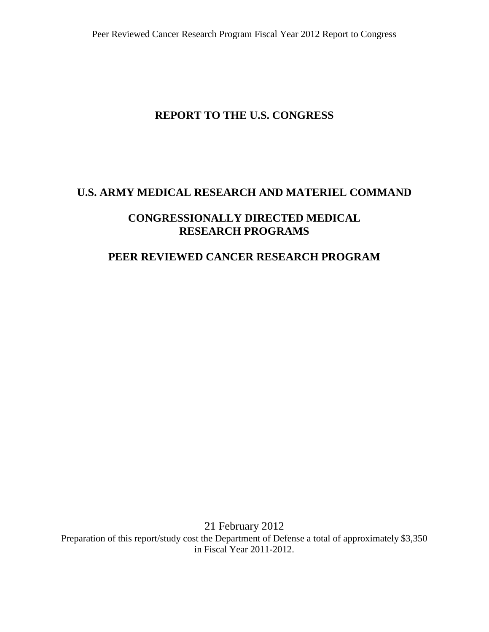# **REPORT TO THE U.S. CONGRESS**

## **U.S. ARMY MEDICAL RESEARCH AND MATERIEL COMMAND**

## **CONGRESSIONALLY DIRECTED MEDICAL RESEARCH PROGRAMS**

## **PEER REVIEWED CANCER RESEARCH PROGRAM**

21 February 2012 Preparation of this report/study cost the Department of Defense a total of approximately \$3,350 in Fiscal Year 2011-2012.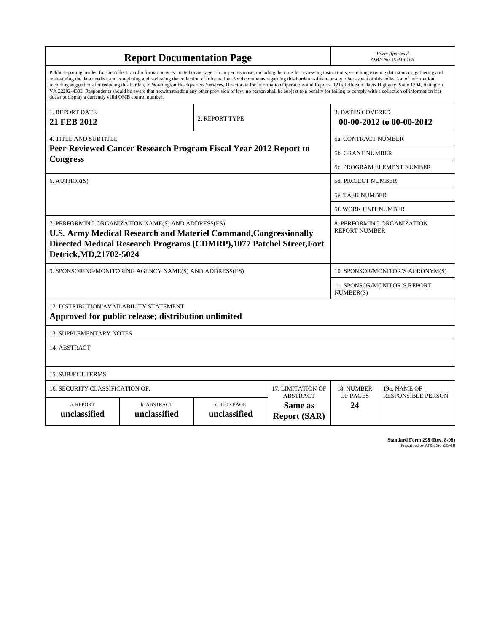|                                                                                                                                                                                                                                                                                                                                                                                                                                                                                                                                                                                                                                                                                                                                                                                                                                                                    | <b>Report Documentation Page</b>                                                               |                              | Form Approved<br>OMB No. 0704-0188                  |                                           |                           |  |  |  |
|--------------------------------------------------------------------------------------------------------------------------------------------------------------------------------------------------------------------------------------------------------------------------------------------------------------------------------------------------------------------------------------------------------------------------------------------------------------------------------------------------------------------------------------------------------------------------------------------------------------------------------------------------------------------------------------------------------------------------------------------------------------------------------------------------------------------------------------------------------------------|------------------------------------------------------------------------------------------------|------------------------------|-----------------------------------------------------|-------------------------------------------|---------------------------|--|--|--|
| Public reporting burden for the collection of information is estimated to average 1 hour per response, including the time for reviewing instructions, searching existing data sources, gathering and<br>maintaining the data needed, and completing and reviewing the collection of information. Send comments regarding this burden estimate or any other aspect of this collection of information,<br>including suggestions for reducing this burden, to Washington Headquarters Services, Directorate for Information Operations and Reports, 1215 Jefferson Davis Highway, Suite 1204, Arlington<br>VA 22202-4302. Respondents should be aware that notwithstanding any other provision of law, no person shall be subject to a penalty for failing to comply with a collection of information if it<br>does not display a currently valid OMB control number. |                                                                                                |                              |                                                     |                                           |                           |  |  |  |
| 1. REPORT DATE<br>21 FEB 2012                                                                                                                                                                                                                                                                                                                                                                                                                                                                                                                                                                                                                                                                                                                                                                                                                                      |                                                                                                | 2. REPORT TYPE               | <b>3. DATES COVERED</b><br>00-00-2012 to 00-00-2012 |                                           |                           |  |  |  |
| <b>4. TITLE AND SUBTITLE</b>                                                                                                                                                                                                                                                                                                                                                                                                                                                                                                                                                                                                                                                                                                                                                                                                                                       | 5a. CONTRACT NUMBER                                                                            |                              |                                                     |                                           |                           |  |  |  |
|                                                                                                                                                                                                                                                                                                                                                                                                                                                                                                                                                                                                                                                                                                                                                                                                                                                                    | Peer Reviewed Cancer Research Program Fiscal Year 2012 Report to                               |                              |                                                     | <b>5b. GRANT NUMBER</b>                   |                           |  |  |  |
| <b>Congress</b>                                                                                                                                                                                                                                                                                                                                                                                                                                                                                                                                                                                                                                                                                                                                                                                                                                                    | 5c. PROGRAM ELEMENT NUMBER                                                                     |                              |                                                     |                                           |                           |  |  |  |
| 6. AUTHOR(S)                                                                                                                                                                                                                                                                                                                                                                                                                                                                                                                                                                                                                                                                                                                                                                                                                                                       | <b>5d. PROJECT NUMBER</b>                                                                      |                              |                                                     |                                           |                           |  |  |  |
|                                                                                                                                                                                                                                                                                                                                                                                                                                                                                                                                                                                                                                                                                                                                                                                                                                                                    |                                                                                                | <b>5e. TASK NUMBER</b>       |                                                     |                                           |                           |  |  |  |
|                                                                                                                                                                                                                                                                                                                                                                                                                                                                                                                                                                                                                                                                                                                                                                                                                                                                    |                                                                                                |                              |                                                     | <b>5f. WORK UNIT NUMBER</b>               |                           |  |  |  |
| 7. PERFORMING ORGANIZATION NAME(S) AND ADDRESS(ES)<br>8. PERFORMING ORGANIZATION<br><b>REPORT NUMBER</b><br><b>U.S. Army Medical Research and Materiel Command, Congressionally</b><br>Directed Medical Research Programs (CDMRP), 1077 Patchel Street, Fort<br>Detrick, MD, 21702-5024                                                                                                                                                                                                                                                                                                                                                                                                                                                                                                                                                                            |                                                                                                |                              |                                                     |                                           |                           |  |  |  |
|                                                                                                                                                                                                                                                                                                                                                                                                                                                                                                                                                                                                                                                                                                                                                                                                                                                                    | 9. SPONSORING/MONITORING AGENCY NAME(S) AND ADDRESS(ES)                                        |                              |                                                     | 10. SPONSOR/MONITOR'S ACRONYM(S)          |                           |  |  |  |
|                                                                                                                                                                                                                                                                                                                                                                                                                                                                                                                                                                                                                                                                                                                                                                                                                                                                    |                                                                                                |                              |                                                     | 11. SPONSOR/MONITOR'S REPORT<br>NUMBER(S) |                           |  |  |  |
|                                                                                                                                                                                                                                                                                                                                                                                                                                                                                                                                                                                                                                                                                                                                                                                                                                                                    | 12. DISTRIBUTION/AVAILABILITY STATEMENT<br>Approved for public release; distribution unlimited |                              |                                                     |                                           |                           |  |  |  |
| <b>13. SUPPLEMENTARY NOTES</b>                                                                                                                                                                                                                                                                                                                                                                                                                                                                                                                                                                                                                                                                                                                                                                                                                                     |                                                                                                |                              |                                                     |                                           |                           |  |  |  |
| 14. ABSTRACT                                                                                                                                                                                                                                                                                                                                                                                                                                                                                                                                                                                                                                                                                                                                                                                                                                                       |                                                                                                |                              |                                                     |                                           |                           |  |  |  |
| <b>15. SUBJECT TERMS</b>                                                                                                                                                                                                                                                                                                                                                                                                                                                                                                                                                                                                                                                                                                                                                                                                                                           |                                                                                                |                              |                                                     |                                           |                           |  |  |  |
| <b>16. SECURITY CLASSIFICATION OF:</b>                                                                                                                                                                                                                                                                                                                                                                                                                                                                                                                                                                                                                                                                                                                                                                                                                             |                                                                                                |                              | <b>17. LIMITATION OF</b>                            | 18. NUMBER                                | 19a. NAME OF              |  |  |  |
| a. REPORT<br>unclassified                                                                                                                                                                                                                                                                                                                                                                                                                                                                                                                                                                                                                                                                                                                                                                                                                                          | b. ABSTRACT<br>unclassified                                                                    | c. THIS PAGE<br>unclassified | <b>ABSTRACT</b><br>Same as<br><b>Report (SAR)</b>   | OF PAGES<br>24                            | <b>RESPONSIBLE PERSON</b> |  |  |  |

**Standard Form 298 (Rev. 8-98)**<br>Prescribed by ANSI Std Z39-18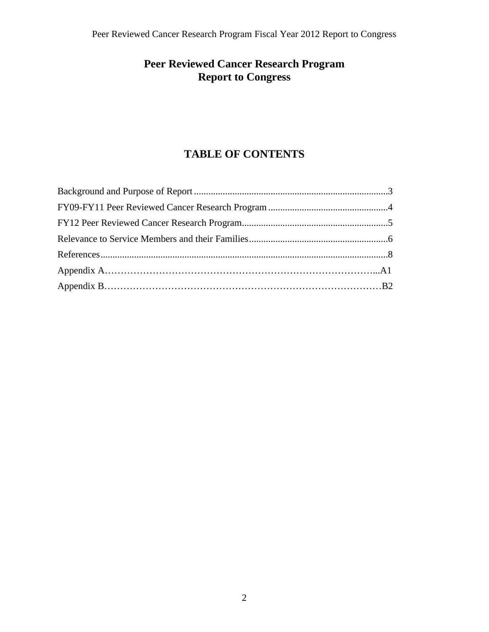# **Peer Reviewed Cancer Research Program Report to Congress**

## **TABLE OF CONTENTS**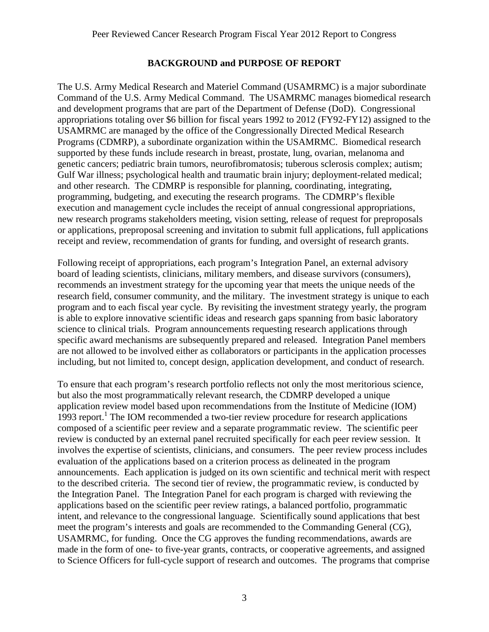#### **BACKGROUND and PURPOSE OF REPORT**

The U.S. Army Medical Research and Materiel Command (USAMRMC) is a major subordinate Command of the U.S. Army Medical Command. The USAMRMC manages biomedical research and development programs that are part of the Department of Defense (DoD). Congressional appropriations totaling over \$6 billion for fiscal years 1992 to 2012 (FY92-FY12) assigned to the USAMRMC are managed by the office of the Congressionally Directed Medical Research Programs (CDMRP), a subordinate organization within the USAMRMC. Biomedical research supported by these funds include research in breast, prostate, lung, ovarian, melanoma and genetic cancers; pediatric brain tumors, neurofibromatosis; tuberous sclerosis complex; autism; Gulf War illness; psychological health and traumatic brain injury; deployment-related medical; and other research. The CDMRP is responsible for planning, coordinating, integrating, programming, budgeting, and executing the research programs. The CDMRP's flexible execution and management cycle includes the receipt of annual congressional appropriations, new research programs stakeholders meeting, vision setting, release of request for preproposals or applications, preproposal screening and invitation to submit full applications, full applications receipt and review, recommendation of grants for funding, and oversight of research grants.

Following receipt of appropriations, each program's Integration Panel, an external advisory board of leading scientists, clinicians, military members, and disease survivors (consumers), recommends an investment strategy for the upcoming year that meets the unique needs of the research field, consumer community, and the military. The investment strategy is unique to each program and to each fiscal year cycle. By revisiting the investment strategy yearly, the program is able to explore innovative scientific ideas and research gaps spanning from basic laboratory science to clinical trials. Program announcements requesting research applications through specific award mechanisms are subsequently prepared and released. Integration Panel members are not allowed to be involved either as collaborators or participants in the application processes including, but not limited to, concept design, application development, and conduct of research.

To ensure that each program's research portfolio reflects not only the most meritorious science, but also the most programmatically relevant research, the CDMRP developed a unique application review model based upon recommendations from the Institute of Medicine (IOM) 1993 report.<sup>1</sup> The IOM recommended a two-tier review procedure for research applications composed of a scientific peer review and a separate programmatic review. The scientific peer review is conducted by an external panel recruited specifically for each peer review session. It involves the expertise of scientists, clinicians, and consumers. The peer review process includes evaluation of the applications based on a criterion process as delineated in the program announcements. Each application is judged on its own scientific and technical merit with respect to the described criteria. The second tier of review, the programmatic review, is conducted by the Integration Panel. The Integration Panel for each program is charged with reviewing the applications based on the scientific peer review ratings, a balanced portfolio, programmatic intent, and relevance to the congressional language. Scientifically sound applications that best meet the program's interests and goals are recommended to the Commanding General (CG), USAMRMC, for funding. Once the CG approves the funding recommendations, awards are made in the form of one- to five-year grants, contracts, or cooperative agreements, and assigned to Science Officers for full-cycle support of research and outcomes. The programs that comprise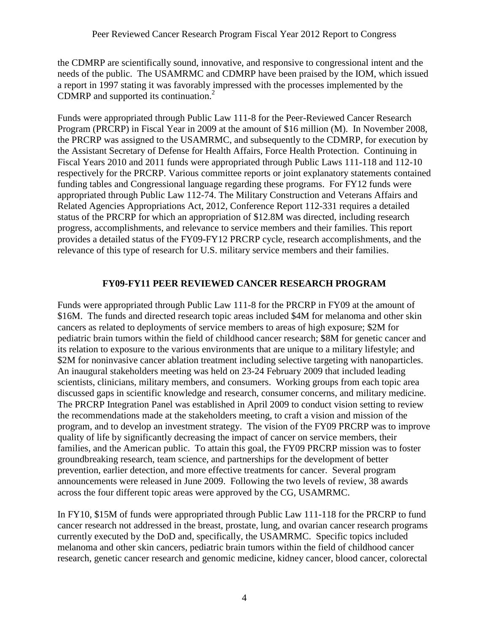the CDMRP are scientifically sound, innovative, and responsive to congressional intent and the needs of the public. The USAMRMC and CDMRP have been praised by the IOM, which issued a report in 1997 stating it was favorably impressed with the processes implemented by the CDMRP and supported its continuation.<sup>2</sup>

Funds were appropriated through Public Law 111-8 for the Peer-Reviewed Cancer Research Program (PRCRP) in Fiscal Year in 2009 at the amount of \$16 million (M). In November 2008, the PRCRP was assigned to the USAMRMC, and subsequently to the CDMRP, for execution by the Assistant Secretary of Defense for Health Affairs, Force Health Protection. Continuing in Fiscal Years 2010 and 2011 funds were appropriated through Public Laws 111-118 and 112-10 respectively for the PRCRP. Various committee reports or joint explanatory statements contained funding tables and Congressional language regarding these programs. For FY12 funds were appropriated through Public Law 112-74. The Military Construction and Veterans Affairs and Related Agencies Appropriations Act, 2012, Conference Report 112-331 requires a detailed status of the PRCRP for which an appropriation of \$12.8M was directed, including research progress, accomplishments, and relevance to service members and their families. This report provides a detailed status of the FY09-FY12 PRCRP cycle, research accomplishments, and the relevance of this type of research for U.S. military service members and their families.

#### **FY09-FY11 PEER REVIEWED CANCER RESEARCH PROGRAM**

Funds were appropriated through Public Law 111-8 for the PRCRP in FY09 at the amount of \$16M. The funds and directed research topic areas included \$4M for melanoma and other skin cancers as related to deployments of service members to areas of high exposure; \$2M for pediatric brain tumors within the field of childhood cancer research; \$8M for genetic cancer and its relation to exposure to the various environments that are unique to a military lifestyle; and \$2M for noninvasive cancer ablation treatment including selective targeting with nanoparticles. An inaugural stakeholders meeting was held on 23-24 February 2009 that included leading scientists, clinicians, military members, and consumers. Working groups from each topic area discussed gaps in scientific knowledge and research, consumer concerns, and military medicine. The PRCRP Integration Panel was established in April 2009 to conduct vision setting to review the recommendations made at the stakeholders meeting, to craft a vision and mission of the program, and to develop an investment strategy. The vision of the FY09 PRCRP was to improve quality of life by significantly decreasing the impact of cancer on service members, their families, and the American public. To attain this goal, the FY09 PRCRP mission was to foster groundbreaking research, team science, and partnerships for the development of better prevention, earlier detection, and more effective treatments for cancer. Several program announcements were released in June 2009. Following the two levels of review, 38 awards across the four different topic areas were approved by the CG, USAMRMC.

In FY10, \$15M of funds were appropriated through Public Law 111-118 for the PRCRP to fund cancer research not addressed in the breast, prostate, lung, and ovarian cancer research programs currently executed by the DoD and, specifically, the USAMRMC. Specific topics included melanoma and other skin cancers, pediatric brain tumors within the field of childhood cancer research, genetic cancer research and genomic medicine, kidney cancer, blood cancer, colorectal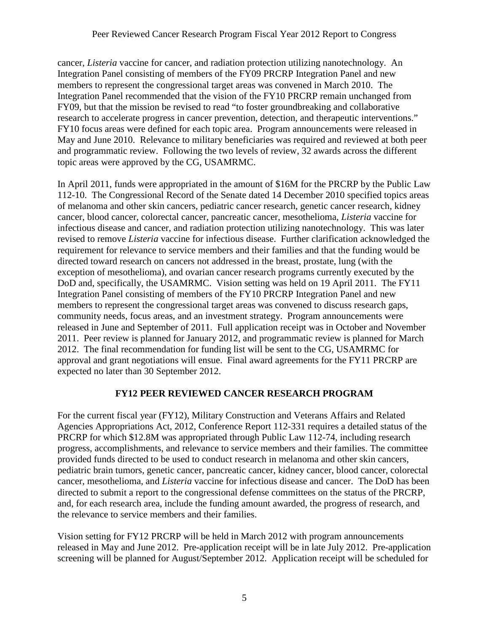cancer, *Listeria* vaccine for cancer, and radiation protection utilizing nanotechnology. An Integration Panel consisting of members of the FY09 PRCRP Integration Panel and new members to represent the congressional target areas was convened in March 2010. The Integration Panel recommended that the vision of the FY10 PRCRP remain unchanged from FY09, but that the mission be revised to read "to foster groundbreaking and collaborative research to accelerate progress in cancer prevention, detection, and therapeutic interventions." FY10 focus areas were defined for each topic area. Program announcements were released in May and June 2010. Relevance to military beneficiaries was required and reviewed at both peer and programmatic review. Following the two levels of review, 32 awards across the different topic areas were approved by the CG, USAMRMC.

In April 2011, funds were appropriated in the amount of \$16M for the PRCRP by the Public Law 112-10. The Congressional Record of the Senate dated 14 December 2010 specified topics areas of melanoma and other skin cancers, pediatric cancer research, genetic cancer research, kidney cancer, blood cancer, colorectal cancer, pancreatic cancer, mesothelioma, *Listeria* vaccine for infectious disease and cancer, and radiation protection utilizing nanotechnology. This was later revised to remove *Listeria* vaccine for infectious disease. Further clarification acknowledged the requirement for relevance to service members and their families and that the funding would be directed toward research on cancers not addressed in the breast, prostate, lung (with the exception of mesothelioma), and ovarian cancer research programs currently executed by the DoD and, specifically, the USAMRMC. Vision setting was held on 19 April 2011. The FY11 Integration Panel consisting of members of the FY10 PRCRP Integration Panel and new members to represent the congressional target areas was convened to discuss research gaps, community needs, focus areas, and an investment strategy. Program announcements were released in June and September of 2011. Full application receipt was in October and November 2011. Peer review is planned for January 2012, and programmatic review is planned for March 2012. The final recommendation for funding list will be sent to the CG, USAMRMC for approval and grant negotiations will ensue. Final award agreements for the FY11 PRCRP are expected no later than 30 September 2012.

#### **FY12 PEER REVIEWED CANCER RESEARCH PROGRAM**

For the current fiscal year (FY12), Military Construction and Veterans Affairs and Related Agencies Appropriations Act, 2012, Conference Report 112-331 requires a detailed status of the PRCRP for which \$12.8M was appropriated through Public Law 112-74, including research progress, accomplishments, and relevance to service members and their families. The committee provided funds directed to be used to conduct research in melanoma and other skin cancers, pediatric brain tumors, genetic cancer, pancreatic cancer, kidney cancer, blood cancer, colorectal cancer, mesothelioma, and *Listeria* vaccine for infectious disease and cancer. The DoD has been directed to submit a report to the congressional defense committees on the status of the PRCRP, and, for each research area, include the funding amount awarded, the progress of research, and the relevance to service members and their families.

Vision setting for FY12 PRCRP will be held in March 2012 with program announcements released in May and June 2012. Pre-application receipt will be in late July 2012. Pre-application screening will be planned for August/September 2012. Application receipt will be scheduled for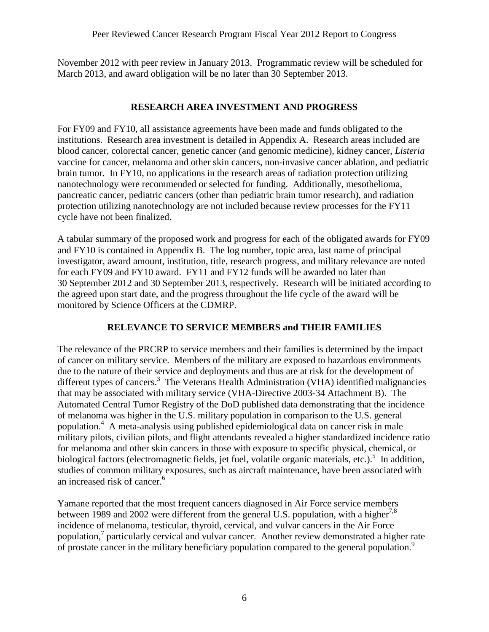November 2012 with peer review in January 2013. Programmatic review will be scheduled for March 2013, and award obligation will be no later than 30 September 2013.

#### **RESEARCH AREA INVESTMENT AND PROGRESS**

For FY09 and FY10, all assistance agreements have been made and funds obligated to the institutions. Research area investment is detailed in Appendix A. Research areas included are blood cancer, colorectal cancer, genetic cancer (and genomic medicine), kidney cancer, *Listeria*  vaccine for cancer, melanoma and other skin cancers, non-invasive cancer ablation, and pediatric brain tumor. In FY10, no applications in the research areas of radiation protection utilizing nanotechnology were recommended or selected for funding. Additionally, mesothelioma, pancreatic cancer, pediatric cancers (other than pediatric brain tumor research), and radiation protection utilizing nanotechnology are not included because review processes for the FY11 cycle have not been finalized.

A tabular summary of the proposed work and progress for each of the obligated awards for FY09 and FY10 is contained in Appendix B. The log number, topic area, last name of principal investigator, award amount, institution, title, research progress, and military relevance are noted for each FY09 and FY10 award. FY11 and FY12 funds will be awarded no later than 30 September 2012 and 30 September 2013, respectively. Research will be initiated according to the agreed upon start date, and the progress throughout the life cycle of the award will be monitored by Science Officers at the CDMRP.

#### **RELEVANCE TO SERVICE MEMBERS and THEIR FAMILIES**

The relevance of the PRCRP to service members and their families is determined by the impact of cancer on military service. Members of the military are exposed to hazardous environments due to the nature of their service and deployments and thus are at risk for the development of different types of cancers.<sup>3</sup> The Veterans Health Administration (VHA) identified malignancies that may be associated with military service (VHA-Directive 2003-34 Attachment B). The Automated Central Tumor Registry of the DoD published data demonstrating that the incidence of melanoma was higher in the U.S. military population in comparison to the U.S. general population.<sup>4</sup> A meta-analysis using published epidemiological data on cancer risk in male military pilots, civilian pilots, and flight attendants revealed a higher standardized incidence ratio for melanoma and other skin cancers in those with exposure to specific physical, chemical, or biological factors (electromagnetic fields, jet fuel, volatile organic materials, etc.).<sup>5</sup> In addition, studies of common military exposures, such as aircraft maintenance, have been associated with an increased risk of cancer.<sup>6</sup>

Yamane reported that the most frequent cancers diagnosed in Air Force service members between 1989 and 2002 were different from the general U.S. population, with a higher<sup>7,8</sup> incidence of melanoma, testicular, thyroid, cervical, and vulvar cancers in the Air Force population,<sup>7</sup> particularly cervical and vulvar cancer. Another review demonstrated a higher rate of prostate cancer in the military beneficiary population compared to the general population.<sup>9</sup>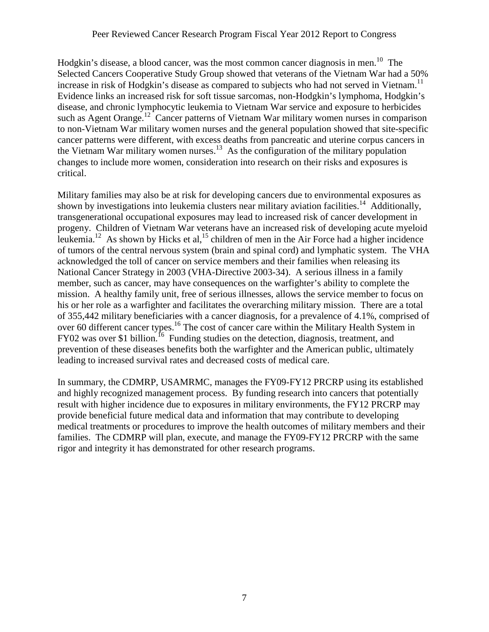Hodgkin's disease, a blood cancer, was the most common cancer diagnosis in men.<sup>10</sup> The Selected Cancers Cooperative Study Group showed that veterans of the Vietnam War had a 50% increase in risk of Hodgkin's disease as compared to subjects who had not served in Vietnam.<sup>11</sup> Evidence links an increased risk for soft tissue sarcomas, non-Hodgkin's lymphoma, Hodgkin's disease, and chronic lymphocytic leukemia to Vietnam War service and exposure to herbicides such as Agent Orange.<sup>12</sup> Cancer patterns of Vietnam War military women nurses in comparison to non-Vietnam War military women nurses and the general population showed that site-specific cancer patterns were different, with excess deaths from pancreatic and uterine corpus cancers in the Vietnam War military women nurses.<sup>13</sup> As the configuration of the military population changes to include more women, consideration into research on their risks and exposures is critical.

Military families may also be at risk for developing cancers due to environmental exposures as shown by investigations into leukemia clusters near military aviation facilities.<sup>14</sup> Additionally, transgenerational occupational exposures may lead to increased risk of cancer development in progeny. Children of Vietnam War veterans have an increased risk of developing acute myeloid leukemia.<sup>12</sup> As shown by Hicks et al,<sup>15</sup> children of men in the Air Force had a higher incidence of tumors of the central nervous system (brain and spinal cord) and lymphatic system. The VHA acknowledged the toll of cancer on service members and their families when releasing its National Cancer Strategy in 2003 (VHA-Directive 2003-34). A serious illness in a family member, such as cancer, may have consequences on the warfighter's ability to complete the mission. A healthy family unit, free of serious illnesses, allows the service member to focus on his or her role as a warfighter and facilitates the overarching military mission. There are a total of 355,442 military beneficiaries with a cancer diagnosis, for a prevalence of 4.1%, comprised of over 60 different cancer types.<sup>16</sup> The cost of cancer care within the Military Health System in  $FY02$  was over \$1 billion.<sup>16</sup> Funding studies on the detection, diagnosis, treatment, and prevention of these diseases benefits both the warfighter and the American public, ultimately leading to increased survival rates and decreased costs of medical care.

In summary, the CDMRP, USAMRMC, manages the FY09-FY12 PRCRP using its established and highly recognized management process. By funding research into cancers that potentially result with higher incidence due to exposures in military environments, the FY12 PRCRP may provide beneficial future medical data and information that may contribute to developing medical treatments or procedures to improve the health outcomes of military members and their families. The CDMRP will plan, execute, and manage the FY09-FY12 PRCRP with the same rigor and integrity it has demonstrated for other research programs.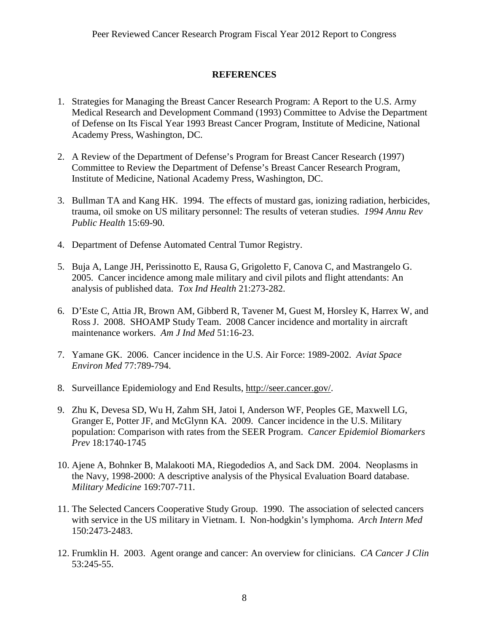#### **REFERENCES**

- 1. Strategies for Managing the Breast Cancer Research Program: A Report to the U.S. Army Medical Research and Development Command (1993) Committee to Advise the Department of Defense on Its Fiscal Year 1993 Breast Cancer Program, Institute of Medicine, National Academy Press, Washington, DC.
- 2. A Review of the Department of Defense's Program for Breast Cancer Research (1997) Committee to Review the Department of Defense's Breast Cancer Research Program, Institute of Medicine, National Academy Press, Washington, DC.
- 3. Bullman TA and Kang HK. 1994. The effects of mustard gas, ionizing radiation, herbicides, trauma, oil smoke on US military personnel: The results of veteran studies. *1994 Annu Rev Public Health* 15:69-90.
- 4. Department of Defense Automated Central Tumor Registry.
- 5. Buja A, Lange JH, Perissinotto E, Rausa G, Grigoletto F, Canova C, and Mastrangelo G. 2005. Cancer incidence among male military and civil pilots and flight attendants: An analysis of published data. *Tox Ind Health* 21:273-282.
- 6. D'Este C, Attia JR, Brown AM, Gibberd R, Tavener M, Guest M, Horsley K, Harrex W, and Ross J. 2008. SHOAMP Study Team. 2008 Cancer incidence and mortality in aircraft maintenance workers. *Am J Ind Med* 51:16-23.
- 7. Yamane GK. 2006. Cancer incidence in the U.S. Air Force: 1989-2002. *Aviat Space Environ Med* 77:789-794.
- 8. Surveillance Epidemiology and End Results, http://seer.cancer.gov/.
- 9. Zhu K, Devesa SD, Wu H, Zahm SH, Jatoi I, Anderson WF, Peoples GE, Maxwell LG, Granger E, Potter JF, and McGlynn KA. 2009. Cancer incidence in the U.S. Military population: Comparison with rates from the SEER Program. *Cancer Epidemiol Biomarkers Prev* 18:1740-1745
- 10. Ajene A, Bohnker B, Malakooti MA, Riegodedios A, and Sack DM. 2004. Neoplasms in the Navy, 1998-2000: A descriptive analysis of the Physical Evaluation Board database. *Military Medicine* 169:707-711.
- 11. The Selected Cancers Cooperative Study Group. 1990. The association of selected cancers with service in the US military in Vietnam. I. Non-hodgkin's lymphoma. *Arch Intern Med* 150:2473-2483.
- 12. Frumklin H. 2003. Agent orange and cancer: An overview for clinicians. *CA Cancer J Clin* 53:245-55.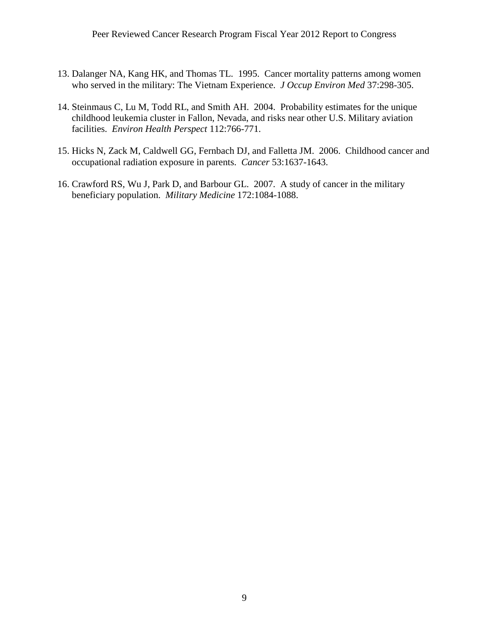- 13. Dalanger NA, Kang HK, and Thomas TL. 1995. Cancer mortality patterns among women who served in the military: The Vietnam Experience. *J Occup Environ Med* 37:298-305.
- 14. Steinmaus C, Lu M, Todd RL, and Smith AH. 2004. Probability estimates for the unique childhood leukemia cluster in Fallon, Nevada, and risks near other U.S. Military aviation facilities. *Environ Health Perspect* 112:766-771.
- 15. Hicks N, Zack M, Caldwell GG, Fernbach DJ, and Falletta JM. 2006. Childhood cancer and occupational radiation exposure in parents. *Cancer* 53:1637-1643.
- 16. Crawford RS, Wu J, Park D, and Barbour GL. 2007. A study of cancer in the military beneficiary population. *Military Medicine* 172:1084-1088.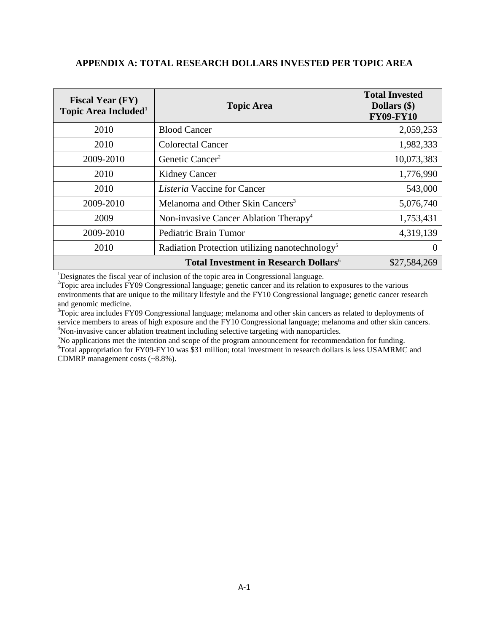#### **APPENDIX A: TOTAL RESEARCH DOLLARS INVESTED PER TOPIC AREA**

| <b>Fiscal Year (FY)</b><br>Topic Area Included <sup>1</sup> | <b>Topic Area</b>                                          | <b>Total Invested</b><br>Dollars (\$)<br><b>FY09-FY10</b> |
|-------------------------------------------------------------|------------------------------------------------------------|-----------------------------------------------------------|
| 2010                                                        | <b>Blood Cancer</b>                                        | 2,059,253                                                 |
| 2010                                                        | Colorectal Cancer                                          | 1,982,333                                                 |
| 2009-2010                                                   | Genetic Cancer <sup>2</sup>                                | 10,073,383                                                |
| 2010                                                        | <b>Kidney Cancer</b>                                       | 1,776,990                                                 |
| 2010                                                        | <i>Listeria</i> Vaccine for Cancer                         | 543,000                                                   |
| 2009-2010                                                   | Melanoma and Other Skin Cancers <sup>3</sup>               | 5,076,740                                                 |
| 2009                                                        | Non-invasive Cancer Ablation Therapy <sup>4</sup>          | 1,753,431                                                 |
| 2009-2010                                                   | Pediatric Brain Tumor                                      | 4,319,139                                                 |
| 2010                                                        | Radiation Protection utilizing nanotechnology <sup>5</sup> |                                                           |
|                                                             | \$27,584,269                                               |                                                           |

<sup>1</sup>Designates the fiscal year of inclusion of the topic area in Congressional language.<br><sup>2</sup>Tepis area includes EV00 Congressional language: canctic agnost and its relation to

<sup>2</sup>Topic area includes FY09 Congressional language; genetic cancer and its relation to exposures to the various environments that are unique to the military lifestyle and the FY10 Congressional language; genetic cancer research and genomic medicine.

 $3$ Topic area includes FY09 Congressional language; melanoma and other skin cancers as related to deployments of service members to areas of high exposure and the FY10 Congressional language; melanoma and other skin cancers.<br><sup>4</sup>Non-invasive cancer ablation treatment including selective targeting with nanoparticles.  $N_{\rm 10}$  invasive cancer ablation treatment including selective targeting with nanoparticles.<br><sup>5</sup>Ne englisetions met the intention and seems of the pregram appearancement for recommen

No applications met the intention and scope of the program announcement for recommendation for funding.<br> ${}^{6}T$ otel appropriation for EV00 EV10 wes \$31 million; totel investment in research dellars is less USAMPMC <sup>6</sup>Total appropriation for FY09-FY10 was \$31 million; total investment in research dollars is less USAMRMC and

CDMRP management costs (~8.8%).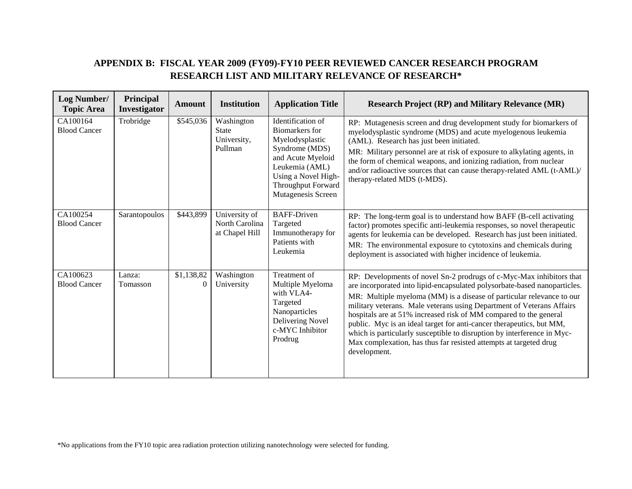### **APPENDIX B: FISCAL YEAR 2009 (FY09)-FY10 PEER REVIEWED CANCER RESEARCH PROGRAM RESEARCH LIST AND MILITARY RELEVANCE OF RESEARCH\***

| <b>Log Number/</b><br><b>Topic Area</b> | Principal<br>Investigator | <b>Amount</b>          | <b>Institution</b>                                   | <b>Application Title</b>                                                                                                                                                           | <b>Research Project (RP) and Military Relevance (MR)</b>                                                                                                                                                                                                                                                                                                                                                                                                                                                                                                                                                         |
|-----------------------------------------|---------------------------|------------------------|------------------------------------------------------|------------------------------------------------------------------------------------------------------------------------------------------------------------------------------------|------------------------------------------------------------------------------------------------------------------------------------------------------------------------------------------------------------------------------------------------------------------------------------------------------------------------------------------------------------------------------------------------------------------------------------------------------------------------------------------------------------------------------------------------------------------------------------------------------------------|
| CA100164<br><b>Blood Cancer</b>         | Trobridge                 | \$545,036              | Washington<br><b>State</b><br>University,<br>Pullman | Identification of<br>Biomarkers for<br>Myelodysplastic<br>Syndrome (MDS)<br>and Acute Myeloid<br>Leukemia (AML)<br>Using a Novel High-<br>Throughput Forward<br>Mutagenesis Screen | RP: Mutagenesis screen and drug development study for biomarkers of<br>myelodysplastic syndrome (MDS) and acute myelogenous leukemia<br>(AML). Research has just been initiated.<br>MR: Military personnel are at risk of exposure to alkylating agents, in<br>the form of chemical weapons, and ionizing radiation, from nuclear<br>and/or radioactive sources that can cause therapy-related AML (t-AML)/<br>therapy-related MDS (t-MDS).                                                                                                                                                                      |
| CA100254<br><b>Blood Cancer</b>         | Sarantopoulos             | \$443,899              | University of<br>North Carolina<br>at Chapel Hill    | <b>BAFF-Driven</b><br>Targeted<br>Immunotherapy for<br>Patients with<br>Leukemia                                                                                                   | RP: The long-term goal is to understand how BAFF (B-cell activating<br>factor) promotes specific anti-leukemia responses, so novel therapeutic<br>agents for leukemia can be developed. Research has just been initiated.<br>MR: The environmental exposure to cytotoxins and chemicals during<br>deployment is associated with higher incidence of leukemia.                                                                                                                                                                                                                                                    |
| CA100623<br><b>Blood Cancer</b>         | Lanza:<br>Tomasson        | \$1,138,82<br>$\Omega$ | Washington<br>University                             | Treatment of<br>Multiple Myeloma<br>with VLA4-<br>Targeted<br>Nanoparticles<br>Delivering Novel<br>c-MYC Inhibitor<br>Prodrug                                                      | RP: Developments of novel Sn-2 prodrugs of c-Myc-Max inhibitors that<br>are incorporated into lipid-encapsulated polysorbate-based nanoparticles.<br>MR: Multiple myeloma (MM) is a disease of particular relevance to our<br>military veterans. Male veterans using Department of Veterans Affairs<br>hospitals are at 51% increased risk of MM compared to the general<br>public. Myc is an ideal target for anti-cancer therapeutics, but MM,<br>which is particularly susceptible to disruption by interference in Myc-<br>Max complexation, has thus far resisted attempts at targeted drug<br>development. |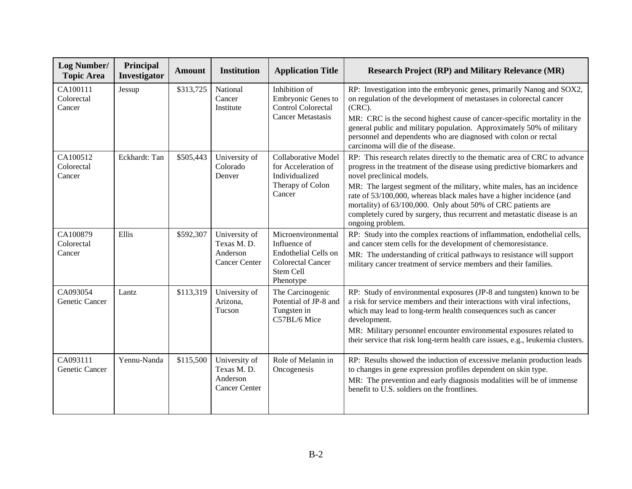| Log Number/<br><b>Topic Area</b> | Principal<br>Investigator | <b>Amount</b> | <b>Institution</b>                                              | <b>Application Title</b>                                                                                         | <b>Research Project (RP) and Military Relevance (MR)</b>                                                                                                                                                                                                                                                                                                                                                                                                                                             |
|----------------------------------|---------------------------|---------------|-----------------------------------------------------------------|------------------------------------------------------------------------------------------------------------------|------------------------------------------------------------------------------------------------------------------------------------------------------------------------------------------------------------------------------------------------------------------------------------------------------------------------------------------------------------------------------------------------------------------------------------------------------------------------------------------------------|
| CA100111<br>Colorectal<br>Cancer | Jessup                    | \$313,725     | National<br>Cancer<br>Institute                                 | Inhibition of<br>Embryonic Genes to<br><b>Control Colorectal</b><br><b>Cancer Metastasis</b>                     | RP: Investigation into the embryonic genes, primarily Nanog and SOX2,<br>on regulation of the development of metastases in colorectal cancer<br>$(CRC)$ .<br>MR: CRC is the second highest cause of cancer-specific mortality in the<br>general public and military population. Approximately 50% of military<br>personnel and dependents who are diagnosed with colon or rectal<br>carcinoma will die of the disease.                                                                               |
| CA100512<br>Colorectal<br>Cancer | Eckhardt: Tan             | \$505,443     | University of<br>Colorado<br>Denver                             | <b>Collaborative Model</b><br>for Acceleration of<br>Individualized<br>Therapy of Colon<br>Cancer                | RP: This research relates directly to the thematic area of CRC to advance<br>progress in the treatment of the disease using predictive biomarkers and<br>novel preclinical models.<br>MR: The largest segment of the military, white males, has an incidence<br>rate of 53/100,000, whereas black males have a higher incidence (and<br>mortality) of 63/100,000. Only about 50% of CRC patients are<br>completely cured by surgery, thus recurrent and metastatic disease is an<br>ongoing problem. |
| CA100879<br>Colorectal<br>Cancer | Ellis                     | \$592,307     | University of<br>Texas M.D.<br>Anderson<br><b>Cancer Center</b> | Microenvironmental<br>Influence of<br>Endothelial Cells on<br><b>Colorectal Cancer</b><br>Stem Cell<br>Phenotype | RP: Study into the complex reactions of inflammation, endothelial cells,<br>and cancer stem cells for the development of chemoresistance.<br>MR: The understanding of critical pathways to resistance will support<br>military cancer treatment of service members and their families.                                                                                                                                                                                                               |
| CA093054<br>Genetic Cancer       | Lantz                     | \$113,319     | University of<br>Arizona,<br>Tucson                             | The Carcinogenic<br>Potential of JP-8 and<br>Tungsten in<br>C57BL/6 Mice                                         | RP: Study of environmental exposures (JP-8 and tungsten) known to be<br>a risk for service members and their interactions with viral infections,<br>which may lead to long-term health consequences such as cancer<br>development.<br>MR: Military personnel encounter environmental exposures related to<br>their service that risk long-term health care issues, e.g., leukemia clusters.                                                                                                          |
| CA093111<br>Genetic Cancer       | Yennu-Nanda               | \$115,500     | University of<br>Texas M.D.<br>Anderson<br><b>Cancer Center</b> | Role of Melanin in<br>Oncogenesis                                                                                | RP: Results showed the induction of excessive melanin production leads<br>to changes in gene expression profiles dependent on skin type.<br>MR: The prevention and early diagnosis modalities will be of immense<br>benefit to U.S. soldiers on the frontlines.                                                                                                                                                                                                                                      |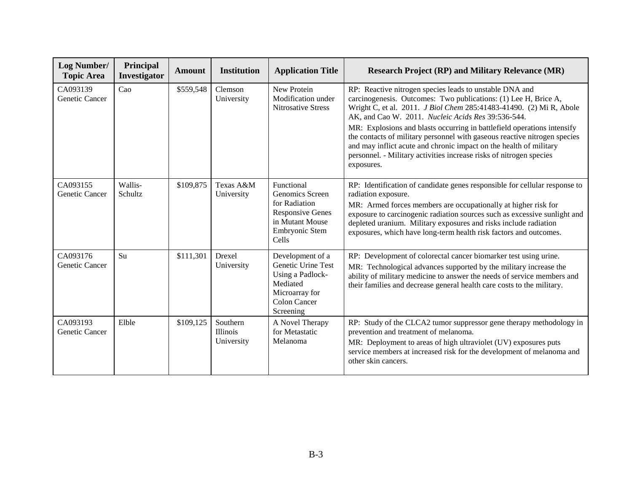| Log Number/<br><b>Topic Area</b> | Principal<br><b>Investigator</b> | <b>Amount</b> | <b>Institution</b>                        | <b>Application Title</b>                                                                                                       | <b>Research Project (RP) and Military Relevance (MR)</b>                                                                                                                                                                                                                                                                                                                                                                                                                                                                                                                   |
|----------------------------------|----------------------------------|---------------|-------------------------------------------|--------------------------------------------------------------------------------------------------------------------------------|----------------------------------------------------------------------------------------------------------------------------------------------------------------------------------------------------------------------------------------------------------------------------------------------------------------------------------------------------------------------------------------------------------------------------------------------------------------------------------------------------------------------------------------------------------------------------|
| CA093139<br>Genetic Cancer       | Cao                              | \$559,548     | Clemson<br>University                     | New Protein<br>Modification under<br><b>Nitrosative Stress</b>                                                                 | RP: Reactive nitrogen species leads to unstable DNA and<br>carcinogenesis. Outcomes: Two publications: (1) Lee H, Brice A,<br>Wright C, et al. 2011. J Biol Chem 285:41483-41490. (2) Mi R, Abole<br>AK, and Cao W. 2011. Nucleic Acids Res 39:536-544.<br>MR: Explosions and blasts occurring in battlefield operations intensify<br>the contacts of military personnel with gaseous reactive nitrogen species<br>and may inflict acute and chronic impact on the health of military<br>personnel. - Military activities increase risks of nitrogen species<br>exposures. |
| CA093155<br>Genetic Cancer       | Wallis-<br>Schultz               | \$109,875     | Texas A&M<br>University                   | Functional<br>Genomics Screen<br>for Radiation<br><b>Responsive Genes</b><br>in Mutant Mouse<br>Embryonic Stem<br><b>Cells</b> | RP: Identification of candidate genes responsible for cellular response to<br>radiation exposure.<br>MR: Armed forces members are occupationally at higher risk for<br>exposure to carcinogenic radiation sources such as excessive sunlight and<br>depleted uranium. Military exposures and risks include radiation<br>exposures, which have long-term health risk factors and outcomes.                                                                                                                                                                                  |
| CA093176<br>Genetic Cancer       | Su                               | \$111,301     | Drexel<br>University                      | Development of a<br>Genetic Urine Test<br>Using a Padlock-<br>Mediated<br>Microarray for<br><b>Colon Cancer</b><br>Screening   | RP: Development of colorectal cancer biomarker test using urine.<br>MR: Technological advances supported by the military increase the<br>ability of military medicine to answer the needs of service members and<br>their families and decrease general health care costs to the military.                                                                                                                                                                                                                                                                                 |
| CA093193<br>Genetic Cancer       | Elble                            | \$109,125     | Southern<br><b>Illinois</b><br>University | A Novel Therapy<br>for Metastatic<br>Melanoma                                                                                  | RP: Study of the CLCA2 tumor suppressor gene therapy methodology in<br>prevention and treatment of melanoma.<br>MR: Deployment to areas of high ultraviolet (UV) exposures puts<br>service members at increased risk for the development of melanoma and<br>other skin cancers.                                                                                                                                                                                                                                                                                            |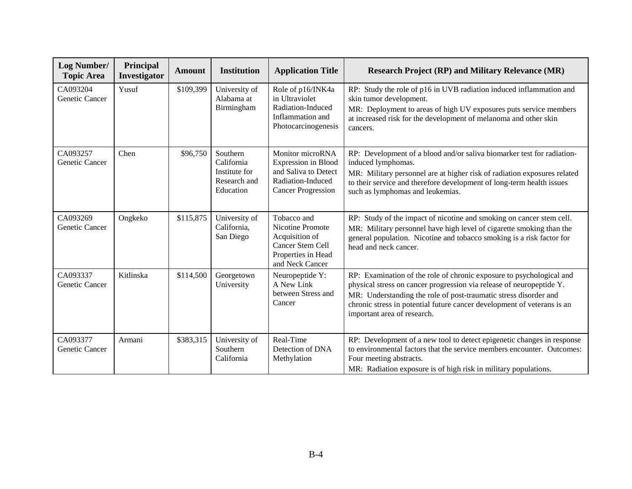| Log Number/<br><b>Topic Area</b>  | Principal<br>Investigator | <b>Amount</b> | <b>Institution</b>                                                   | <b>Application Title</b>                                                                                          | <b>Research Project (RP) and Military Relevance (MR)</b>                                                                                                                                                                                                                                                                   |
|-----------------------------------|---------------------------|---------------|----------------------------------------------------------------------|-------------------------------------------------------------------------------------------------------------------|----------------------------------------------------------------------------------------------------------------------------------------------------------------------------------------------------------------------------------------------------------------------------------------------------------------------------|
| CA093204<br>Genetic Cancer        | Yusuf                     | \$109,399     | University of<br>Alabama at<br>Birmingham                            | Role of p16/INK4a<br>in Ultraviolet<br>Radiation-Induced<br>Inflammation and<br>Photocarcinogenesis               | RP: Study the role of p16 in UVB radiation induced inflammation and<br>skin tumor development.<br>MR: Deployment to areas of high UV exposures puts service members<br>at increased risk for the development of melanoma and other skin<br>cancers.                                                                        |
| CA093257<br>Genetic Cancer        | Chen                      | \$96,750      | Southern<br>California<br>Institute for<br>Research and<br>Education | Monitor microRNA<br>Expression in Blood<br>and Saliva to Detect<br>Radiation-Induced<br><b>Cancer Progression</b> | RP: Development of a blood and/or saliva biomarker test for radiation-<br>induced lymphomas.<br>MR: Military personnel are at higher risk of radiation exposures related<br>to their service and therefore development of long-term health issues<br>such as lymphomas and leukemias.                                      |
| CA093269<br><b>Genetic Cancer</b> | Ongkeko                   | \$115,875     | University of<br>California,<br>San Diego                            | Tobacco and<br>Nicotine Promote<br>Acquisition of<br>Cancer Stem Cell<br>Properties in Head<br>and Neck Cancer    | RP: Study of the impact of nicotine and smoking on cancer stem cell.<br>MR: Military personnel have high level of cigarette smoking than the<br>general population. Nicotine and tobacco smoking is a risk factor for<br>head and neck cancer.                                                                             |
| CA093337<br>Genetic Cancer        | Kitlinska                 | \$114,500     | Georgetown<br>University                                             | Neuropeptide Y:<br>A New Link<br>between Stress and<br>Cancer                                                     | RP: Examination of the role of chronic exposure to psychological and<br>physical stress on cancer progression via release of neuropeptide Y.<br>MR: Understanding the role of post-traumatic stress disorder and<br>chronic stress in potential future cancer development of veterans is an<br>important area of research. |
| CA093377<br>Genetic Cancer        | Armani                    | \$383,315     | University of<br>Southern<br>California                              | Real-Time<br>Detection of DNA<br>Methylation                                                                      | RP: Development of a new tool to detect epigenetic changes in response<br>to environmental factors that the service members encounter. Outcomes:<br>Four meeting abstracts.<br>MR: Radiation exposure is of high risk in military populations.                                                                             |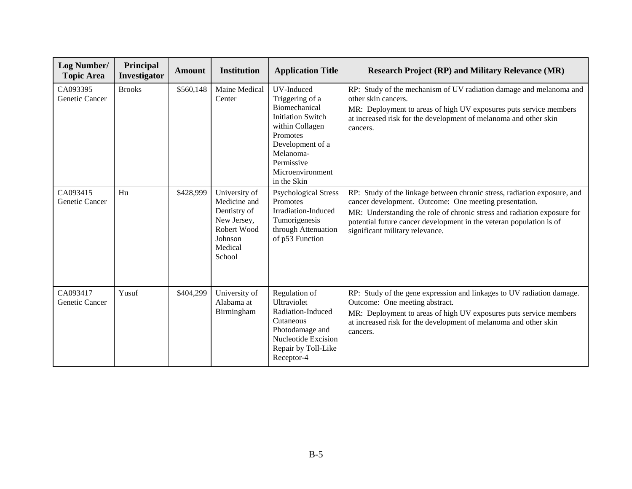| Log Number/<br><b>Topic Area</b> | Principal<br>Investigator | <b>Amount</b> | <b>Institution</b>                                                                                          | <b>Application Title</b>                                                                                                                                                                    | <b>Research Project (RP) and Military Relevance (MR)</b>                                                                                                                                                                                                                                                                |
|----------------------------------|---------------------------|---------------|-------------------------------------------------------------------------------------------------------------|---------------------------------------------------------------------------------------------------------------------------------------------------------------------------------------------|-------------------------------------------------------------------------------------------------------------------------------------------------------------------------------------------------------------------------------------------------------------------------------------------------------------------------|
| CA093395<br>Genetic Cancer       | <b>Brooks</b>             | \$560,148     | Maine Medical<br>Center                                                                                     | UV-Induced<br>Triggering of a<br>Biomechanical<br><b>Initiation Switch</b><br>within Collagen<br>Promotes<br>Development of a<br>Melanoma-<br>Permissive<br>Microenvironment<br>in the Skin | RP: Study of the mechanism of UV radiation damage and melanoma and<br>other skin cancers.<br>MR: Deployment to areas of high UV exposures puts service members<br>at increased risk for the development of melanoma and other skin<br>cancers.                                                                          |
| CA093415<br>Genetic Cancer       | Hu                        | \$428,999     | University of<br>Medicine and<br>Dentistry of<br>New Jersey,<br>Robert Wood<br>Johnson<br>Medical<br>School | <b>Psychological Stress</b><br>Promotes<br>Irradiation-Induced<br>Tumorigenesis<br>through Attenuation<br>of p53 Function                                                                   | RP: Study of the linkage between chronic stress, radiation exposure, and<br>cancer development. Outcome: One meeting presentation.<br>MR: Understanding the role of chronic stress and radiation exposure for<br>potential future cancer development in the veteran population is of<br>significant military relevance. |
| CA093417<br>Genetic Cancer       | Yusuf                     | \$404,299     | University of<br>Alabama at<br>Birmingham                                                                   | Regulation of<br><b>Ultraviolet</b><br>Radiation-Induced<br>Cutaneous<br>Photodamage and<br>Nucleotide Excision<br>Repair by Toll-Like<br>Receptor-4                                        | RP: Study of the gene expression and linkages to UV radiation damage.<br>Outcome: One meeting abstract.<br>MR: Deployment to areas of high UV exposures puts service members<br>at increased risk for the development of melanoma and other skin<br>cancers.                                                            |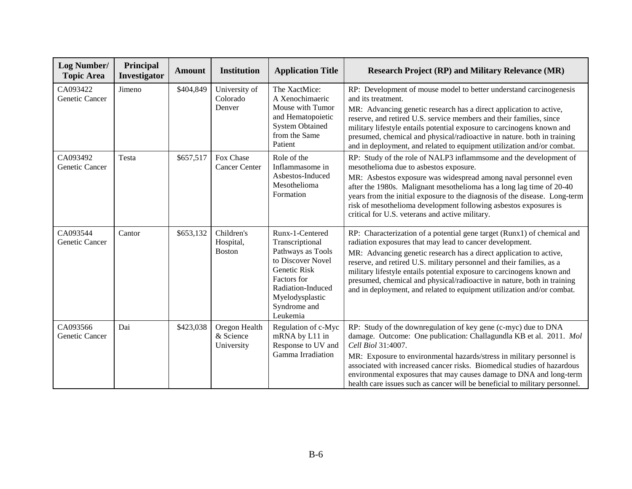| Log Number/<br><b>Topic Area</b> | Principal<br><b>Investigator</b> | <b>Amount</b> | <b>Institution</b>                       | <b>Application Title</b>                                                                                                                                                        | <b>Research Project (RP) and Military Relevance (MR)</b>                                                                                                                                                                                                                                                                                                                                                                                                                                                          |
|----------------------------------|----------------------------------|---------------|------------------------------------------|---------------------------------------------------------------------------------------------------------------------------------------------------------------------------------|-------------------------------------------------------------------------------------------------------------------------------------------------------------------------------------------------------------------------------------------------------------------------------------------------------------------------------------------------------------------------------------------------------------------------------------------------------------------------------------------------------------------|
| CA093422<br>Genetic Cancer       | Jimeno                           | \$404,849     | University of<br>Colorado<br>Denver      | The XactMice:<br>A Xenochimaeric<br>Mouse with Tumor<br>and Hematopoietic<br><b>System Obtained</b><br>from the Same<br>Patient                                                 | RP: Development of mouse model to better understand carcinogenesis<br>and its treatment.<br>MR: Advancing genetic research has a direct application to active,<br>reserve, and retired U.S. service members and their families, since<br>military lifestyle entails potential exposure to carcinogens known and<br>presumed, chemical and physical/radioactive in nature. both in training<br>and in deployment, and related to equipment utilization and/or combat.                                              |
| CA093492<br>Genetic Cancer       | Testa                            | \$657,517     | Fox Chase<br><b>Cancer Center</b>        | Role of the<br>Inflammasome in<br>Asbestos-Induced<br>Mesothelioma<br>Formation                                                                                                 | RP: Study of the role of NALP3 inflammsome and the development of<br>mesothelioma due to asbestos exposure.<br>MR: Asbestos exposure was widespread among naval personnel even<br>after the 1980s. Malignant mesothelioma has a long lag time of 20-40<br>years from the initial exposure to the diagnosis of the disease. Long-term<br>risk of mesothelioma development following asbestos exposures is<br>critical for U.S. veterans and active military.                                                       |
| CA093544<br>Genetic Cancer       | Cantor                           | \$653,132     | Children's<br>Hospital,<br><b>Boston</b> | Runx-1-Centered<br>Transcriptional<br>Pathways as Tools<br>to Discover Novel<br>Genetic Risk<br>Factors for<br>Radiation-Induced<br>Myelodysplastic<br>Syndrome and<br>Leukemia | RP: Characterization of a potential gene target (Runx1) of chemical and<br>radiation exposures that may lead to cancer development.<br>MR: Advancing genetic research has a direct application to active,<br>reserve, and retired U.S. military personnel and their families, as a<br>military lifestyle entails potential exposure to carcinogens known and<br>presumed, chemical and physical/radioactive in nature, both in training<br>and in deployment, and related to equipment utilization and/or combat. |
| CA093566<br>Genetic Cancer       | Dai                              | \$423,038     | Oregon Health<br>& Science<br>University | Regulation of c-Myc<br>mRNA by L11 in<br>Response to UV and<br>Gamma Irradiation                                                                                                | RP: Study of the downregulation of key gene (c-myc) due to DNA<br>damage. Outcome: One publication: Challagundla KB et al. 2011. Mol<br>Cell Biol 31:4007.<br>MR: Exposure to environmental hazards/stress in military personnel is<br>associated with increased cancer risks. Biomedical studies of hazardous<br>environmental exposures that may causes damage to DNA and long-term<br>health care issues such as cancer will be beneficial to military personnel.                                              |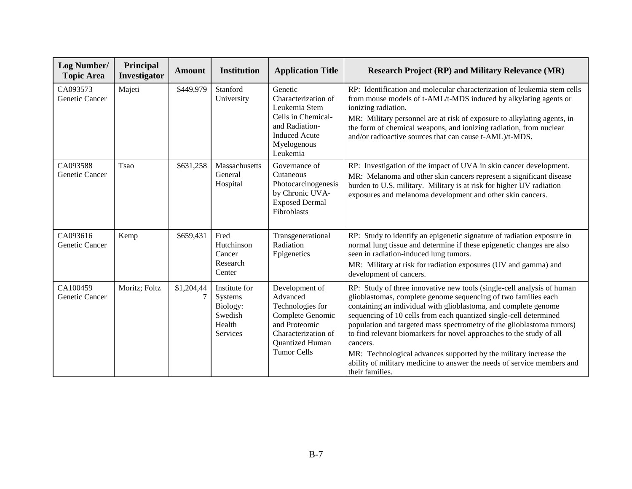| <b>Log Number/</b><br><b>Topic Area</b> | Principal<br><b>Investigator</b> | <b>Amount</b> | <b>Institution</b>                                                    | <b>Application Title</b>                                                                                                                            | <b>Research Project (RP) and Military Relevance (MR)</b>                                                                                                                                                                                                                                                                                                                                                                                                                                                                                                                                                         |
|-----------------------------------------|----------------------------------|---------------|-----------------------------------------------------------------------|-----------------------------------------------------------------------------------------------------------------------------------------------------|------------------------------------------------------------------------------------------------------------------------------------------------------------------------------------------------------------------------------------------------------------------------------------------------------------------------------------------------------------------------------------------------------------------------------------------------------------------------------------------------------------------------------------------------------------------------------------------------------------------|
| CA093573<br>Genetic Cancer              | Majeti                           | \$449,979     | Stanford<br>University                                                | Genetic<br>Characterization of<br>Leukemia Stem<br>Cells in Chemical-<br>and Radiation-<br><b>Induced Acute</b><br>Myelogenous<br>Leukemia          | RP: Identification and molecular characterization of leukemia stem cells<br>from mouse models of t-AML/t-MDS induced by alkylating agents or<br>ionizing radiation.<br>MR: Military personnel are at risk of exposure to alkylating agents, in<br>the form of chemical weapons, and ionizing radiation, from nuclear<br>and/or radioactive sources that can cause t-AML)/t-MDS.                                                                                                                                                                                                                                  |
| CA093588<br>Genetic Cancer              | Tsao                             | \$631,258     | Massachusetts<br>General<br>Hospital                                  | Governance of<br>Cutaneous<br>Photocarcinogenesis<br>by Chronic UVA-<br><b>Exposed Dermal</b><br>Fibroblasts                                        | RP: Investigation of the impact of UVA in skin cancer development.<br>MR: Melanoma and other skin cancers represent a significant disease<br>burden to U.S. military. Military is at risk for higher UV radiation<br>exposures and melanoma development and other skin cancers.                                                                                                                                                                                                                                                                                                                                  |
| CA093616<br>Genetic Cancer              | Kemp                             | \$659,431     | Fred<br>Hutchinson<br>Cancer<br>Research<br>Center                    | Transgenerational<br>Radiation<br>Epigenetics                                                                                                       | RP: Study to identify an epigenetic signature of radiation exposure in<br>normal lung tissue and determine if these epigenetic changes are also<br>seen in radiation-induced lung tumors.<br>MR: Military at risk for radiation exposures (UV and gamma) and<br>development of cancers.                                                                                                                                                                                                                                                                                                                          |
| CA100459<br>Genetic Cancer              | Moritz; Foltz                    | \$1,204,44    | Institute for<br>Systems<br>Biology:<br>Swedish<br>Health<br>Services | Development of<br>Advanced<br>Technologies for<br>Complete Genomic<br>and Proteomic<br>Characterization of<br>Quantized Human<br><b>Tumor Cells</b> | RP: Study of three innovative new tools (single-cell analysis of human<br>glioblastomas, complete genome sequencing of two families each<br>containing an individual with glioblastoma, and complete genome<br>sequencing of 10 cells from each quantized single-cell determined<br>population and targeted mass spectrometry of the glioblastoma tumors)<br>to find relevant biomarkers for novel approaches to the study of all<br>cancers.<br>MR: Technological advances supported by the military increase the<br>ability of military medicine to answer the needs of service members and<br>their families. |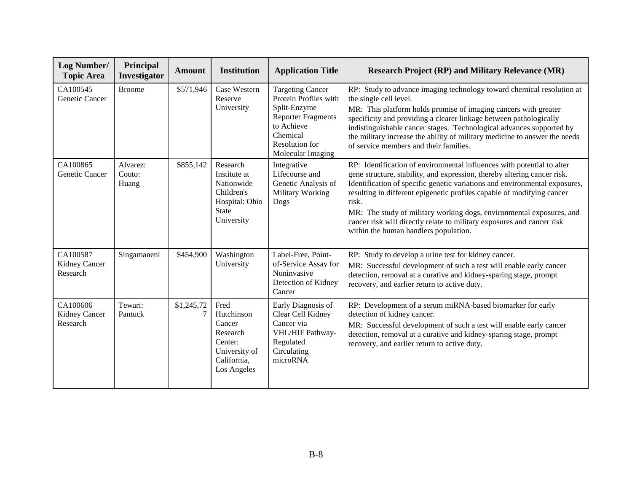| Log Number/<br><b>Topic Area</b>      | Principal<br><b>Investigator</b> | <b>Amount</b> | <b>Institution</b>                                                                                   | <b>Application Title</b>                                                                                                                                              | <b>Research Project (RP) and Military Relevance (MR)</b>                                                                                                                                                                                                                                                                                                                                                                                                                                                       |
|---------------------------------------|----------------------------------|---------------|------------------------------------------------------------------------------------------------------|-----------------------------------------------------------------------------------------------------------------------------------------------------------------------|----------------------------------------------------------------------------------------------------------------------------------------------------------------------------------------------------------------------------------------------------------------------------------------------------------------------------------------------------------------------------------------------------------------------------------------------------------------------------------------------------------------|
| CA100545<br>Genetic Cancer            | <b>Broome</b>                    | \$571,946     | Case Western<br>Reserve<br>University                                                                | <b>Targeting Cancer</b><br>Protein Profiles with<br>Split-Enzyme<br><b>Reporter Fragments</b><br>to Achieve<br>Chemical<br><b>Resolution</b> for<br>Molecular Imaging | RP: Study to advance imaging technology toward chemical resolution at<br>the single cell level.<br>MR: This platform holds promise of imaging cancers with greater<br>specificity and providing a clearer linkage between pathologically<br>indistinguishable cancer stages. Technological advances supported by<br>the military increase the ability of military medicine to answer the needs<br>of service members and their families.                                                                       |
| CA100865<br>Genetic Cancer            | Alvarez:<br>Couto:<br>Huang      | \$855,142     | Research<br>Institute at<br>Nationwide<br>Children's<br>Hospital: Ohio<br><b>State</b><br>University | Integrative<br>Lifecourse and<br>Genetic Analysis of<br>Military Working<br>Dogs                                                                                      | RP: Identification of environmental influences with potential to alter<br>gene structure, stability, and expression, thereby altering cancer risk.<br>Identification of specific genetic variations and environmental exposures,<br>resulting in different epigenetic profiles capable of modifying cancer<br>risk.<br>MR: The study of military working dogs, environmental exposures, and<br>cancer risk will directly relate to military exposures and cancer risk<br>within the human handlers population. |
| CA100587<br>Kidney Cancer<br>Research | Singamaneni                      | \$454,900     | Washington<br>University                                                                             | Label-Free, Point-<br>of-Service Assay for<br>Noninvasive<br>Detection of Kidney<br>Cancer                                                                            | RP: Study to develop a urine test for kidney cancer.<br>MR: Successful development of such a test will enable early cancer<br>detection, removal at a curative and kidney-sparing stage, prompt<br>recovery, and earlier return to active duty.                                                                                                                                                                                                                                                                |
| CA100606<br>Kidney Cancer<br>Research | Tewari:<br>Pantuck               | \$1,245,72    | Fred<br>Hutchinson<br>Cancer<br>Research<br>Center:<br>University of<br>California,<br>Los Angeles   | Early Diagnosis of<br>Clear Cell Kidney<br>Cancer via<br>VHL/HIF Pathway-<br>Regulated<br>Circulating<br>microRNA                                                     | RP: Development of a serum miRNA-based biomarker for early<br>detection of kidney cancer.<br>MR: Successful development of such a test will enable early cancer<br>detection, removal at a curative and kidney-sparing stage, prompt<br>recovery, and earlier return to active duty.                                                                                                                                                                                                                           |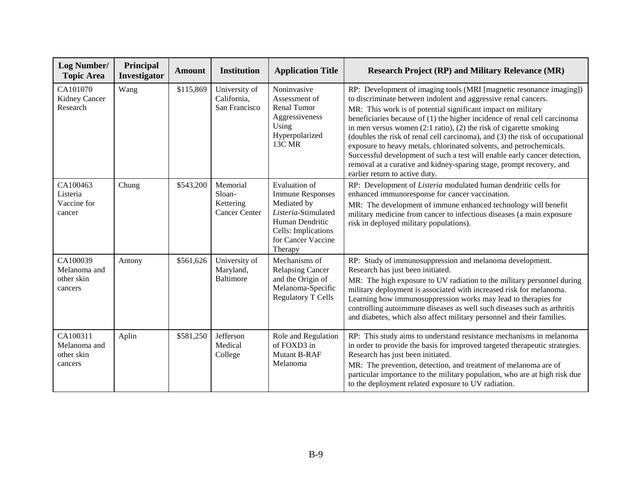| Log Number/<br><b>Topic Area</b>                  | Principal<br>Investigator | <b>Amount</b> | <b>Institution</b>                                      | <b>Application Title</b>                                                                                                                                         | <b>Research Project (RP) and Military Relevance (MR)</b>                                                                                                                                                                                                                                                                                                                                                                                                                                                                                                                                                                                                                                                            |
|---------------------------------------------------|---------------------------|---------------|---------------------------------------------------------|------------------------------------------------------------------------------------------------------------------------------------------------------------------|---------------------------------------------------------------------------------------------------------------------------------------------------------------------------------------------------------------------------------------------------------------------------------------------------------------------------------------------------------------------------------------------------------------------------------------------------------------------------------------------------------------------------------------------------------------------------------------------------------------------------------------------------------------------------------------------------------------------|
| CA101070<br>Kidney Cancer<br>Research             | Wang                      | \$115,869     | University of<br>California,<br>San Francisco           | Noninvasive<br>Assessment of<br><b>Renal Tumor</b><br>Aggressiveness<br>Using<br>Hyperpolarized<br>13C MR                                                        | RP: Development of imaging tools (MRI [magnetic resonance imaging])<br>to discriminate between indolent and aggressive renal cancers.<br>MR: This work is of potential significant impact on military<br>beneficiaries because of (1) the higher incidence of renal cell carcinoma<br>in men versus women $(2.1 \text{ ratio})$ , $(2)$ the risk of cigarette smoking<br>(doubles the risk of renal cell carcinoma), and (3) the risk of occupational<br>exposure to heavy metals, chlorinated solvents, and petrochemicals.<br>Successful development of such a test will enable early cancer detection,<br>removal at a curative and kidney-sparing stage, prompt recovery, and<br>earlier return to active duty. |
| CA100463<br>Listeria<br>Vaccine for<br>cancer     | Chung                     | \$543,200     | Memorial<br>Sloan-<br>Kettering<br><b>Cancer Center</b> | <b>Evaluation of</b><br><b>Immune Responses</b><br>Mediated by<br>Listeria-Stimulated<br>Human Dendritic<br>Cells: Implications<br>for Cancer Vaccine<br>Therapy | RP: Development of Listeria modulated human dendritic cells for<br>enhanced immunoresponse for cancer vaccination.<br>MR: The development of immune enhanced technology will benefit<br>military medicine from cancer to infectious diseases (a main exposure<br>risk in deployed military populations).                                                                                                                                                                                                                                                                                                                                                                                                            |
| CA100039<br>Melanoma and<br>other skin<br>cancers | Antony                    | \$561,626     | University of<br>Maryland,<br><b>Baltimore</b>          | Mechanisms of<br><b>Relapsing Cancer</b><br>and the Origin of<br>Melanoma-Specific<br><b>Regulatory T Cells</b>                                                  | RP: Study of immunosuppression and melanoma development.<br>Research has just been initiated.<br>MR: The high exposure to UV radiation to the military personnel during<br>military deployment is associated with increased risk for melanoma.<br>Learning how immunosuppression works may lead to therapies for<br>controlling autoimmune diseases as well such diseases such as arthritis<br>and diabetes, which also affect military personnel and their families.                                                                                                                                                                                                                                               |
| CA100311<br>Melanoma and<br>other skin<br>cancers | Aplin                     | \$581,250     | Jefferson<br>Medical<br>College                         | Role and Regulation<br>of FOXD3 in<br><b>Mutant B-RAF</b><br>Melanoma                                                                                            | RP: This study aims to understand resistance mechanisms in melanoma<br>in order to provide the basis for improved targeted therapeutic strategies.<br>Research has just been initiated.<br>MR: The prevention, detection, and treatment of melanoma are of<br>particular importance to the military population, who are at high risk due<br>to the deployment related exposure to UV radiation.                                                                                                                                                                                                                                                                                                                     |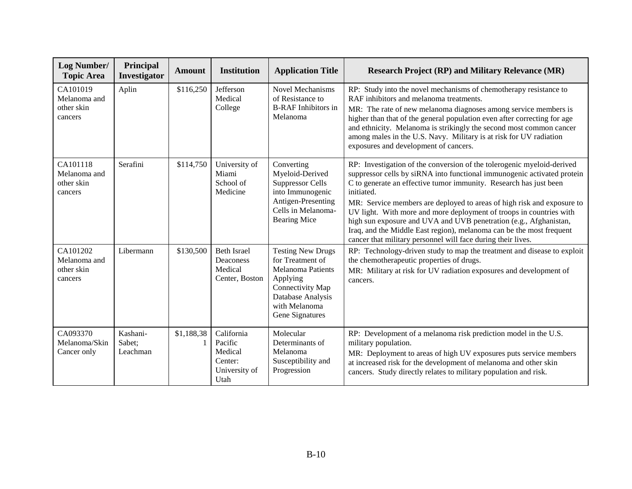| <b>Log Number/</b><br><b>Topic Area</b>           | Principal<br><b>Investigator</b> | <b>Amount</b> | <b>Institution</b>                                                   | <b>Application Title</b>                                                                                                                                          | <b>Research Project (RP) and Military Relevance (MR)</b>                                                                                                                                                                                                                                                                                                                                                                                                                                                                                                                                           |
|---------------------------------------------------|----------------------------------|---------------|----------------------------------------------------------------------|-------------------------------------------------------------------------------------------------------------------------------------------------------------------|----------------------------------------------------------------------------------------------------------------------------------------------------------------------------------------------------------------------------------------------------------------------------------------------------------------------------------------------------------------------------------------------------------------------------------------------------------------------------------------------------------------------------------------------------------------------------------------------------|
| CA101019<br>Melanoma and<br>other skin<br>cancers | Aplin                            | \$116,250     | Jefferson<br>Medical<br>College                                      | <b>Novel Mechanisms</b><br>of Resistance to<br><b>B-RAF</b> Inhibitors in<br>Melanoma                                                                             | RP: Study into the novel mechanisms of chemotherapy resistance to<br>RAF inhibitors and melanoma treatments.<br>MR: The rate of new melanoma diagnoses among service members is<br>higher than that of the general population even after correcting for age<br>and ethnicity. Melanoma is strikingly the second most common cancer<br>among males in the U.S. Navy. Military is at risk for UV radiation<br>exposures and development of cancers.                                                                                                                                                  |
| CA101118<br>Melanoma and<br>other skin<br>cancers | Serafini                         | \$114,750     | University of<br>Miami<br>School of<br>Medicine                      | Converting<br>Myeloid-Derived<br><b>Suppressor Cells</b><br>into Immunogenic<br>Antigen-Presenting<br>Cells in Melanoma-<br><b>Bearing Mice</b>                   | RP: Investigation of the conversion of the tolerogenic myeloid-derived<br>suppressor cells by siRNA into functional immunogenic activated protein<br>C to generate an effective tumor immunity. Research has just been<br>initiated.<br>MR: Service members are deployed to areas of high risk and exposure to<br>UV light. With more and more deployment of troops in countries with<br>high sun exposure and UVA and UVB penetration (e.g., Afghanistan,<br>Iraq, and the Middle East region), melanoma can be the most frequent<br>cancer that military personnel will face during their lives. |
| CA101202<br>Melanoma and<br>other skin<br>cancers | Libermann                        | \$130,500     | <b>Beth Israel</b><br>Deaconess<br>Medical<br>Center, Boston         | <b>Testing New Drugs</b><br>for Treatment of<br><b>Melanoma Patients</b><br>Applying<br>Connectivity Map<br>Database Analysis<br>with Melanoma<br>Gene Signatures | RP: Technology-driven study to map the treatment and disease to exploit<br>the chemotherapeutic properties of drugs.<br>MR: Military at risk for UV radiation exposures and development of<br>cancers.                                                                                                                                                                                                                                                                                                                                                                                             |
| CA093370<br>Melanoma/Skin<br>Cancer only          | Kashani-<br>Sabet;<br>Leachman   | \$1,188,38    | California<br>Pacific<br>Medical<br>Center:<br>University of<br>Utah | Molecular<br>Determinants of<br>Melanoma<br>Susceptibility and<br>Progression                                                                                     | RP: Development of a melanoma risk prediction model in the U.S.<br>military population.<br>MR: Deployment to areas of high UV exposures puts service members<br>at increased risk for the development of melanoma and other skin<br>cancers. Study directly relates to military population and risk.                                                                                                                                                                                                                                                                                               |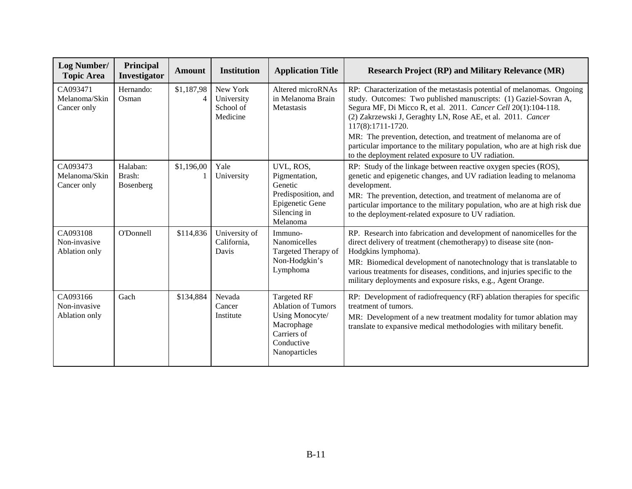| Log Number/<br><b>Topic Area</b>          | Principal<br>Investigator       | <b>Amount</b>   | <b>Institution</b>                              | <b>Application Title</b>                                                                                                       | <b>Research Project (RP) and Military Relevance (MR)</b>                                                                                                                                                                                                                                                                                                                               |
|-------------------------------------------|---------------------------------|-----------------|-------------------------------------------------|--------------------------------------------------------------------------------------------------------------------------------|----------------------------------------------------------------------------------------------------------------------------------------------------------------------------------------------------------------------------------------------------------------------------------------------------------------------------------------------------------------------------------------|
| CA093471<br>Melanoma/Skin<br>Cancer only  | Hernando:<br>Osman              | \$1,187,98<br>4 | New York<br>University<br>School of<br>Medicine | Altered microRNAs<br>in Melanoma Brain<br>Metastasis                                                                           | RP: Characterization of the metastasis potential of melanomas. Ongoing<br>study. Outcomes: Two published manuscripts: (1) Gaziel-Sovran A,<br>Segura MF, Di Micco R, et al. 2011. Cancer Cell 20(1):104-118.<br>(2) Zakrzewski J, Geraghty LN, Rose AE, et al. 2011. Cancer<br>117(8):1711-1720.                                                                                       |
|                                           |                                 |                 |                                                 |                                                                                                                                | MR: The prevention, detection, and treatment of melanoma are of<br>particular importance to the military population, who are at high risk due<br>to the deployment related exposure to UV radiation.                                                                                                                                                                                   |
| CA093473<br>Melanoma/Skin<br>Cancer only  | Halaban:<br>Brash:<br>Bosenberg | \$1,196,00      | Yale<br>University                              | UVL, ROS,<br>Pigmentation,<br>Genetic<br>Predisposition, and<br>Epigenetic Gene<br>Silencing in<br>Melanoma                    | RP: Study of the linkage between reactive oxygen species (ROS),<br>genetic and epigenetic changes, and UV radiation leading to melanoma<br>development.<br>MR: The prevention, detection, and treatment of melanoma are of<br>particular importance to the military population, who are at high risk due<br>to the deployment-related exposure to UV radiation.                        |
| CA093108<br>Non-invasive<br>Ablation only | O'Donnell                       | \$114,836       | University of<br>California,<br>Davis           | Immuno-<br>Nanomicelles<br>Targeted Therapy of<br>Non-Hodgkin's<br>Lymphoma                                                    | RP. Research into fabrication and development of nanomicelles for the<br>direct delivery of treatment (chemotherapy) to disease site (non-<br>Hodgkins lymphoma).<br>MR: Biomedical development of nanotechnology that is translatable to<br>various treatments for diseases, conditions, and injuries specific to the<br>military deployments and exposure risks, e.g., Agent Orange. |
| CA093166<br>Non-invasive<br>Ablation only | Gach                            | \$134,884       | Nevada<br>Cancer<br>Institute                   | <b>Targeted RF</b><br><b>Ablation of Tumors</b><br>Using Monocyte/<br>Macrophage<br>Carriers of<br>Conductive<br>Nanoparticles | RP: Development of radiofrequency (RF) ablation therapies for specific<br>treatment of tumors.<br>MR: Development of a new treatment modality for tumor ablation may<br>translate to expansive medical methodologies with military benefit.                                                                                                                                            |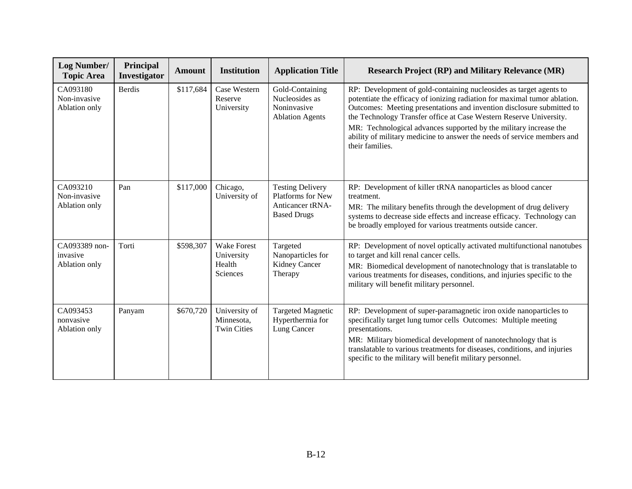| <b>Log Number/</b><br><b>Topic Area</b>    | Principal<br>Investigator | <b>Amount</b> | <b>Institution</b>                                     | <b>Application Title</b>                                                               | <b>Research Project (RP) and Military Relevance (MR)</b>                                                                                                                                                                                                                                                                                                                                                                                                          |
|--------------------------------------------|---------------------------|---------------|--------------------------------------------------------|----------------------------------------------------------------------------------------|-------------------------------------------------------------------------------------------------------------------------------------------------------------------------------------------------------------------------------------------------------------------------------------------------------------------------------------------------------------------------------------------------------------------------------------------------------------------|
| CA093180<br>Non-invasive<br>Ablation only  | <b>Berdis</b>             | \$117,684     | Case Western<br>Reserve<br>University                  | Gold-Containing<br>Nucleosides as<br>Noninvasive<br><b>Ablation Agents</b>             | RP: Development of gold-containing nucleosides as target agents to<br>potentiate the efficacy of ionizing radiation for maximal tumor ablation.<br>Outcomes: Meeting presentations and invention disclosure submitted to<br>the Technology Transfer office at Case Western Reserve University.<br>MR: Technological advances supported by the military increase the<br>ability of military medicine to answer the needs of service members and<br>their families. |
| CA093210<br>Non-invasive<br>Ablation only  | Pan                       | \$117,000     | Chicago,<br>University of                              | <b>Testing Delivery</b><br>Platforms for New<br>Anticancer tRNA-<br><b>Based Drugs</b> | RP: Development of killer tRNA nanoparticles as blood cancer<br>treatment.<br>MR: The military benefits through the development of drug delivery<br>systems to decrease side effects and increase efficacy. Technology can<br>be broadly employed for various treatments outside cancer.                                                                                                                                                                          |
| CA093389 non-<br>invasive<br>Ablation only | Torti                     | \$598,307     | <b>Wake Forest</b><br>University<br>Health<br>Sciences | Targeted<br>Nanoparticles for<br>Kidney Cancer<br>Therapy                              | RP: Development of novel optically activated multifunctional nanotubes<br>to target and kill renal cancer cells.<br>MR: Biomedical development of nanotechnology that is translatable to<br>various treatments for diseases, conditions, and injuries specific to the<br>military will benefit military personnel.                                                                                                                                                |
| CA093453<br>nonvasive<br>Ablation only     | Panyam                    | \$670,720     | University of<br>Minnesota,<br><b>Twin Cities</b>      | <b>Targeted Magnetic</b><br>Hyperthermia for<br>Lung Cancer                            | RP: Development of super-paramagnetic iron oxide nanoparticles to<br>specifically target lung tumor cells Outcomes: Multiple meeting<br>presentations.<br>MR: Military biomedical development of nanotechnology that is<br>translatable to various treatments for diseases, conditions, and injuries<br>specific to the military will benefit military personnel.                                                                                                 |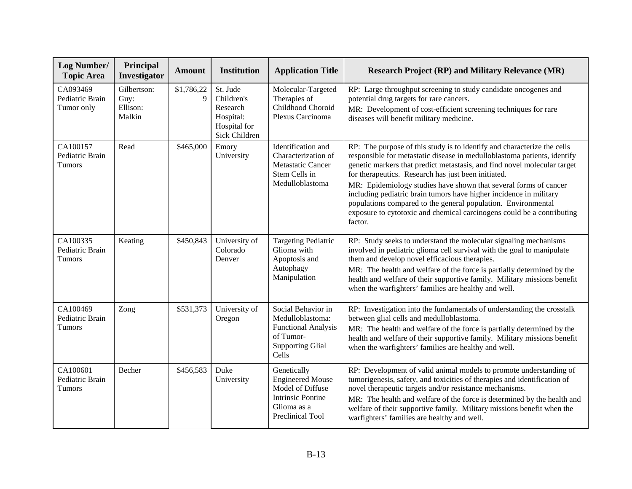| Log Number/<br><b>Topic Area</b>             | Principal<br>Investigator                 | <b>Amount</b>   | <b>Institution</b>                                                               | <b>Application Title</b>                                                                                                  | <b>Research Project (RP) and Military Relevance (MR)</b>                                                                                                                                                                                                                                                                                                                                                                                                                                                                                                                               |
|----------------------------------------------|-------------------------------------------|-----------------|----------------------------------------------------------------------------------|---------------------------------------------------------------------------------------------------------------------------|----------------------------------------------------------------------------------------------------------------------------------------------------------------------------------------------------------------------------------------------------------------------------------------------------------------------------------------------------------------------------------------------------------------------------------------------------------------------------------------------------------------------------------------------------------------------------------------|
| CA093469<br>Pediatric Brain<br>Tumor only    | Gilbertson:<br>Guy:<br>Ellison:<br>Malkin | \$1,786,22<br>9 | St. Jude<br>Children's<br>Research<br>Hospital:<br>Hospital for<br>Sick Children | Molecular-Targeted<br>Therapies of<br>Childhood Choroid<br>Plexus Carcinoma                                               | RP: Large throughput screening to study candidate oncogenes and<br>potential drug targets for rare cancers.<br>MR: Development of cost-efficient screening techniques for rare<br>diseases will benefit military medicine.                                                                                                                                                                                                                                                                                                                                                             |
| CA100157<br>Pediatric Brain<br>Tumors        | Read                                      | \$465,000       | Emory<br>University                                                              | Identification and<br>Characterization of<br>Metastatic Cancer<br>Stem Cells in<br>Medulloblastoma                        | RP: The purpose of this study is to identify and characterize the cells<br>responsible for metastatic disease in medulloblastoma patients, identify<br>genetic markers that predict metastasis, and find novel molecular target<br>for therapeutics. Research has just been initiated.<br>MR: Epidemiology studies have shown that several forms of cancer<br>including pediatric brain tumors have higher incidence in military<br>populations compared to the general population. Environmental<br>exposure to cytotoxic and chemical carcinogens could be a contributing<br>factor. |
| CA100335<br>Pediatric Brain<br>Tumors        | Keating                                   | \$450,843       | University of<br>Colorado<br>Denver                                              | <b>Targeting Pediatric</b><br>Glioma with<br>Apoptosis and<br>Autophagy<br>Manipulation                                   | RP: Study seeks to understand the molecular signaling mechanisms<br>involved in pediatric glioma cell survival with the goal to manipulate<br>them and develop novel efficacious therapies.<br>MR: The health and welfare of the force is partially determined by the<br>health and welfare of their supportive family. Military missions benefit<br>when the warfighters' families are healthy and well.                                                                                                                                                                              |
| CA100469<br>Pediatric Brain<br><b>Tumors</b> | Zong                                      | \$531,373       | University of<br>Oregon                                                          | Social Behavior in<br>Medulloblastoma:<br><b>Functional Analysis</b><br>of Tumor-<br><b>Supporting Glial</b><br>Cells     | RP: Investigation into the fundamentals of understanding the crosstalk<br>between glial cells and medulloblastoma.<br>MR: The health and welfare of the force is partially determined by the<br>health and welfare of their supportive family. Military missions benefit<br>when the warfighters' families are healthy and well.                                                                                                                                                                                                                                                       |
| CA100601<br>Pediatric Brain<br><b>Tumors</b> | Becher                                    | \$456,583       | Duke<br>University                                                               | Genetically<br><b>Engineered Mouse</b><br>Model of Diffuse<br><b>Intrinsic Pontine</b><br>Glioma as a<br>Preclinical Tool | RP: Development of valid animal models to promote understanding of<br>tumorigenesis, safety, and toxicities of therapies and identification of<br>novel therapeutic targets and/or resistance mechanisms.<br>MR: The health and welfare of the force is determined by the health and<br>welfare of their supportive family. Military missions benefit when the<br>warfighters' families are healthy and well.                                                                                                                                                                          |